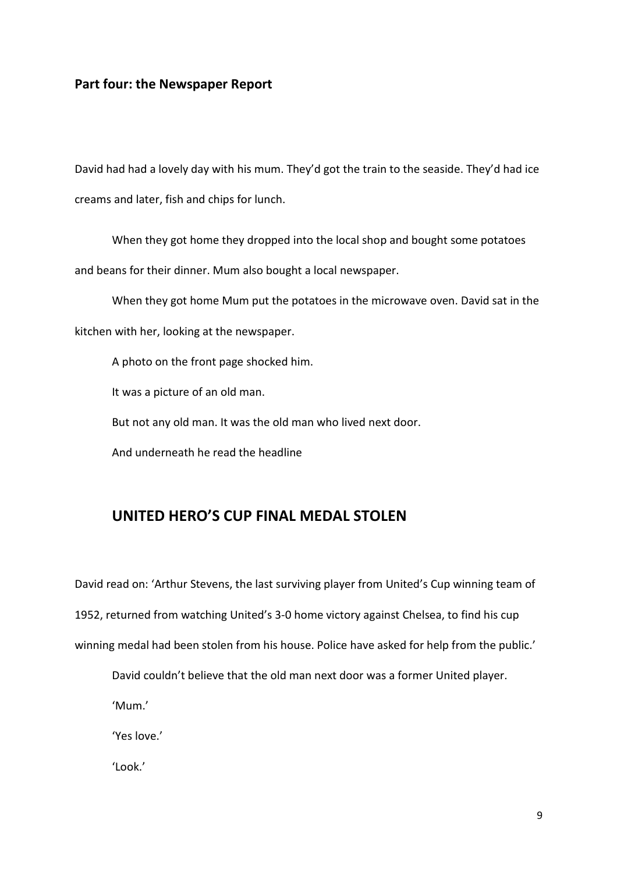## Part four: the Newspaper Report

David had had a lovely day with his mum. They'd got the train to the seaside. They'd had ice creams and later, fish and chips for lunch.

 When they got home they dropped into the local shop and bought some potatoes and beans for their dinner. Mum also bought a local newspaper.

 When they got home Mum put the potatoes in the microwave oven. David sat in the kitchen with her, looking at the newspaper.

A photo on the front page shocked him.

It was a picture of an old man.

But not any old man. It was the old man who lived next door.

And underneath he read the headline

## UNITED HERO'S CUP FINAL MEDAL STOLEN

David read on: 'Arthur Stevens, the last surviving player from United's Cup winning team of 1952, returned from watching United's 3-0 home victory against Chelsea, to find his cup winning medal had been stolen from his house. Police have asked for help from the public.'

David couldn't believe that the old man next door was a former United player.

'Mum.'

'Yes love.'

'Look.'